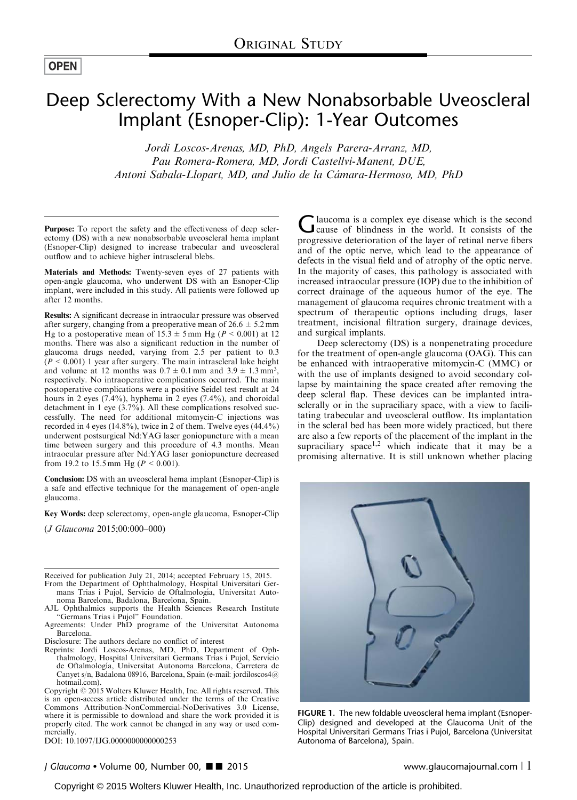<span id="page-0-0"></span>**OPEN** 

# Deep Sclerectomy With a New Nonabsorbable Uveoscleral Implant (Esnoper-Clip): 1-Year Outcomes

Jordi Loscos-Arenas, MD, PhD, Angels Parera-Arranz, MD, Pau Romera-Romera, MD, Jordi Castellvi-Manent, DUE, Antoni Sabala-Llopart, MD, and Julio de la Cámara-Hermoso, MD, PhD

Purpose: To report the safety and the effectiveness of deep sclerectomy (DS) with a new nonabsorbable uveoscleral hema implant (Esnoper-Clip) designed to increase trabecular and uveoscleral outflow and to achieve higher intrascleral blebs.

Materials and Methods: Twenty-seven eyes of 27 patients with open-angle glaucoma, who underwent DS with an Esnoper-Clip implant, were included in this study. All patients were followed up after 12 months.

Results: A significant decrease in intraocular pressure was observed after surgery, changing from a preoperative mean of  $26.6 \pm 5.2$  mm Hg to a postoperative mean of  $15.\overline{3} \pm 5$  mm Hg ( $P < 0.001$ ) at 12 months. There was also a significant reduction in the number of glaucoma drugs needed, varying from 2.5 per patient to 0.3  $(P < 0.001)$  1 year after surgery. The main intrascleral lake height and volume at 12 months was  $0.7 \pm 0.1$  mm and  $3.9 \pm 1.3$  mm<sup>3</sup>, respectively. No intraoperative complications occurred. The main postoperative complications were a positive Seidel test result at 24 hours in 2 eyes (7.4%), hyphema in 2 eyes (7.4%), and choroidal detachment in 1 eye (3.7%). All these complications resolved successfully. The need for additional mitomycin-C injections was recorded in 4 eyes (14.8%), twice in 2 of them. Twelve eyes (44.4%) underwent postsurgical Nd:YAG laser goniopuncture with a mean time between surgery and this procedure of 4.3 months. Mean intraocular pressure after Nd:YAG laser goniopuncture decreased from 19.2 to 15.5 mm Hg ( $P < 0.001$ ).

Conclusion: DS with an uveoscleral hema implant (Esnoper-Clip) is a safe and effective technique for the management of open-angle glaucoma.

Key Words: deep sclerectomy, open-angle glaucoma, Esnoper-Clip

(J Glaucoma 2015;00:000–000)

Received for publication July 21, 2014; accepted February 15, 2015.

- From the Department of Ophthalmology, Hospital Universitari Germans Trias i Pujol, Servicio de Oftalmología, Universitat Autonoma Barcelona, Badalona, Barcelona, Spain.
- AJL Ophthalmics supports the Health Sciences Research Institute "Germans Trias i Pujol" Foundation.
- Agreements: Under PhD programe of the Universitat Autonoma Barcelona.
- Disclosure: The authors declare no conflict of interest
- Reprints: Jordi Loscos-Arenas, MD, PhD, Department of Ophthalmology, Hospital Universitari Germans Trias i Pujol, Servicio de Oftalmología, Universitat Autonoma Barcelona, Carretera de Canyet s/n, Badalona 08916, Barcelona, Spain (e-mail: [jordiloscos4@](mailto:jordiloscos4@hotmail.com) [hotmail.com\)](mailto:jordiloscos4@hotmail.com).

Copyright  $\odot$  2015 Wolters Kluwer Health, Inc. All rights reserved. This is an open-access article distributed under the terms of the Creative Commons Attribution-NonCommercial-NoDerivatives 3.0 License, where it is permissible to download and share the work provided it is properly cited. The work cannot be changed in any way or used commercially.

DOI: 10.1097/IJG.0000000000000253

J Glaucoma • Volume 00, Number 00, ■ ■ 2015 www.glaucomajournal.com | 1

Glaucoma is a complex eye disease which is the second<br>cause of blindness in the world. It consists of the progressive deterioration of the layer of retinal nerve fibers and of the optic nerve, which lead to the appearance of defects in the visual field and of atrophy of the optic nerve. In the majority of cases, this pathology is associated with increased intraocular pressure (IOP) due to the inhibition of correct drainage of the aqueous humor of the eye. The management of glaucoma requires chronic treatment with a spectrum of therapeutic options including drugs, laser treatment, incisional filtration surgery, drainage devices, and surgical implants.

Deep sclerectomy (DS) is a nonpenetrating procedure for the treatment of open-angle glaucoma (OAG). This can be enhanced with intraoperative mitomycin-C (MMC) or with the use of implants designed to avoid secondary collapse by maintaining the space created after removing the deep scleral flap. These devices can be implanted intrasclerally or in the supraciliary space, with a view to facilitating trabecular and uveoscleral outflow. Its implantation in the scleral bed has been more widely practiced, but there are also a few reports of the placement of the implant in the supraciliary space<sup>[1,2](#page-4-0)</sup> which indicate that it may be a promising alternative. It is still unknown whether placing



FIGURE 1. The new foldable uveoscleral hema implant (Esnoper-Clip) designed and developed at the Glaucoma Unit of the Hospital Universitari Germans Trias i Pujol, Barcelona (Universitat Autonoma of Barcelona), Spain.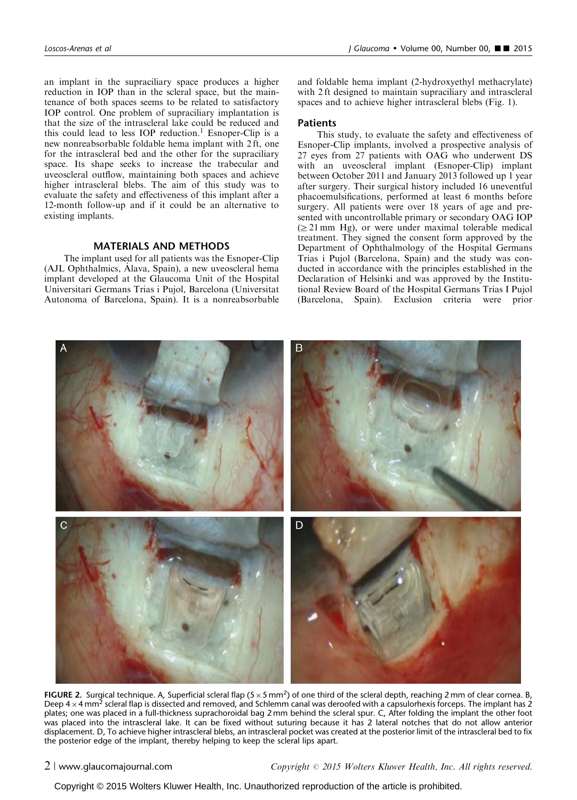<span id="page-1-0"></span>an implant in the supraciliary space produces a higher reduction in IOP than in the scleral space, but the maintenance of both spaces seems to be related to satisfactory IOP control. One problem of supraciliary implantation is that the size of the intrascleral lake could be reduced and this could lead to less IOP reduction.<sup>1</sup> Esnoper-Clip is a new nonreabsorbable foldable hema implant with 2 ft, one for the intrascleral bed and the other for the supraciliary space. Its shape seeks to increase the trabecular and uveoscleral outflow, maintaining both spaces and achieve higher intrascleral blebs. The aim of this study was to evaluate the safety and effectiveness of this implant after a 12-month follow-up and if it could be an alternative to existing implants.

# MATERIALS AND METHODS

The implant used for all patients was the Esnoper-Clip (AJL Ophthalmics, Alava, Spain), a new uveoscleral hema implant developed at the Glaucoma Unit of the Hospital Universitari Germans Trias i Pujol, Barcelona (Universitat Autonoma of Barcelona, Spain). It is a nonreabsorbable and foldable hema implant (2-hydroxyethyl methacrylate) with 2 ft designed to maintain supraciliary and intrascleral spaces and to achieve higher intrascleral blebs ([Fig. 1\)](#page-0-0).

## **Patients**

This study, to evaluate the safety and effectiveness of Esnoper-Clip implants, involved a prospective analysis of 27 eyes from 27 patients with OAG who underwent DS with an uveoscleral implant (Esnoper-Clip) implant between October 2011 and January 2013 followed up 1 year after surgery. Their surgical history included 16 uneventful phacoemulsifications, performed at least 6 months before surgery. All patients were over 18 years of age and presented with uncontrollable primary or secondary OAG IOP  $(\geq 21 \text{ mm Hg})$ , or were under maximal tolerable medical treatment. They signed the consent form approved by the Department of Ophthalmology of the Hospital Germans Trias i Pujol (Barcelona, Spain) and the study was conducted in accordance with the principles established in the Declaration of Helsinki and was approved by the Institutional Review Board of the Hospital Germans Trias I Pujol (Barcelona, Spain). Exclusion criteria were prior



FIGURE 2. Surgical technique. A, Superficial scleral flap ( $5 \times 5$  mm<sup>2</sup>) of one third of the scleral depth, reaching 2 mm of clear cornea. B, Deep  $4 \times 4$  mm<sup>2</sup> scleral flap is dissected and removed, and Schlemm canal was deroofed with a capsulorhexis forceps. The implant has 2 plates; one was placed in a full-thickness suprachoroidal bag 2 mm behind the scleral spur. C, After folding the implant the other foot was placed into the intrascleral lake. It can be fixed without suturing because it has 2 lateral notches that do not allow anterior displacement. D, To achieve higher intrascleral blebs, an intrascleral pocket was created at the posterior limit of the intrascleral bed to fix the posterior edge of the implant, thereby helping to keep the scleral lips apart.

2 <sup>|</sup> www.glaucomajournal.com Copyright <sup>r</sup> 2015 Wolters Kluwer Health, Inc. All rights reserved.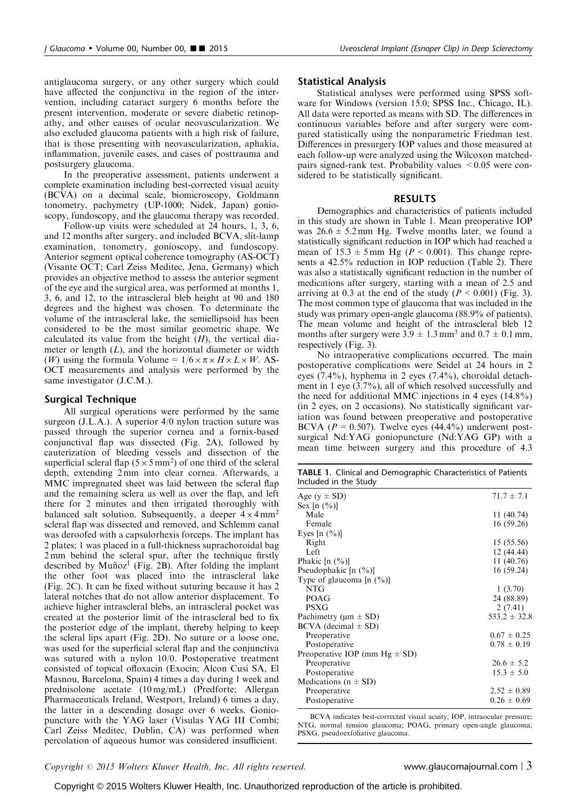antiglaucoma surgery, or any other surgery which could have affected the conjunctiva in the region of the intervention, including cataract surgery 6 months before the present intervention, moderate or severe diabetic retinopathy, and other causes of ocular neovascularization. We also excluded glaucoma patients with a high risk of failure, that is those presenting with neovascularization, aphakia, inflammation, juvenile cases, and cases of posttrauma and postsurgery glaucoma.

In the preoperative assessment, patients underwent a complete examination including best-corrected visual acuity (BCVA) on a decimal scale, biomicroscopy, Goldmann tonometry, pachymetry (UP-1000; Nidek, Japan) gonioscopy, fundoscopy, and the glaucoma therapy was recorded.

Follow-up visits were scheduled at 24 hours, 1, 3, 6, and 12 months after surgery, and included BCVA, slit-lamp examination, tonometry, gonioscopy, and fundoscopy. Anterior segment optical coherence tomography (AS-OCT) (Visante OCT; Carl Zeiss Meditec, Jena, Germany) which provides an objective method to assess the anterior segment of the eye and the surgical area, was performed at months 1, 3, 6, and 12, to the intrascleral bleb height at 90 and 180 degrees and the highest was chosen. To determinate the volume of the intrascleral lake, the semiellipsoid has been considered to be the most similar geometric shape. We calculated its value from the height  $(H)$ , the vertical diameter or length  $(L)$ , and the horizontal diameter or width (*W*) using the formula Volume =  $1/6 \times \pi \times H \times L \times W$ . AS-OCT measurements and analysis were performed by the same investigator (J.C.M.).

### Surgical Technique

All surgical operations were performed by the same surgeon (J.L.A.). A superior 4/0 nylon traction suture was passed through the superior cornea and a fornix-based conjunctival flap was dissected [\(Fig. 2A\)](#page-1-0), followed by cauterization of bleeding vessels and dissection of the superficial scleral flap  $(5 \times 5 \text{ mm}^2)$  of one third of the scleral depth, extending 2 mm into clear cornea. Afterwards, a MMC impregnated sheet was laid between the scleral flap and the remaining sclera as well as over the flap, and left there for 2 minutes and then irrigated thoroughly with balanced salt solution. Subsequently, a deeper  $4 \times 4$  mm<sup>2</sup> scleral flap was dissected and removed, and Schlemm canal was deroofed with a capsulorhexis forceps. The implant has 2 plates; 1 was placed in a full-thickness suprachoroidal bag 2 mm behind the scleral spur, after the technique firstly described by  $Muñoz<sup>1</sup>$  $Muñoz<sup>1</sup>$  $Muñoz<sup>1</sup>$  ([Fig. 2B\)](#page-1-0). After folding the implant the other foot was placed into the intrascleral lake ([Fig. 2C\)](#page-1-0). It can be fixed without suturing because it has 2 lateral notches that do not allow anterior displacement. To achieve higher intrascleral blebs, an intrascleral pocket was created at the posterior limit of the intrascleral bed to fix the posterior edge of the implant, thereby helping to keep the scleral lips apart ([Fig. 2D](#page-1-0)). No suture or a loose one, was used for the superficial scleral flap and the conjunctiva was sutured with a nylon 10/0. Postoperative treatment consisted of topical ofloxacin (Exocin; Alcon Cusı´ SA, El Masnou, Barcelona, Spain) 4 times a day during 1 week and prednisolone acetate (10 mg/mL) (Predforte; Allergan Pharmaceuticals Ireland, Westport, Ireland) 6 times a day, the latter in a descending dosage over 6 weeks. Goniopuncture with the YAG laser (Visulas YAG III Combi; Carl Zeiss Meditec, Dublin, CA) was performed when percolation of aqueous humor was considered insufficient.

#### Statistical Analysis

Statistical analyses were performed using SPSS software for Windows (version 15.0; SPSS Inc., Chicago, IL). All data were reported as means with SD. The differences in continuous variables before and after surgery were compared statistically using the nonparametric Friedman test. Differences in presurgery IOP values and those measured at each follow-up were analyzed using the Wilcoxon matchedpairs signed-rank test. Probability values  $\leq 0.05$  were considered to be statistically significant.

#### RESULTS

Demographics and characteristics of patients included in this study are shown in Table 1. Mean preoperative IOP was  $26.6 \pm 5.2$  mm Hg. Twelve months later, we found a statistically significant reduction in IOP which had reached a mean of  $15.3 \pm 5$  mm Hg ( $P < 0.001$ ). This change represents a 42.5% reduction in IOP reduction ([Table 2\)](#page-3-0). There was also a statistically significant reduction in the number of medications after surgery, starting with a mean of 2.5 and arriving at 0.3 at the end of the study ( $P \le 0.001$ ) [\(Fig. 3\)](#page-3-0). The most common type of glaucoma that was included in the study was primary open-angle glaucoma (88.9% of patients). The mean volume and height of the intrascleral bleb 12 months after surgery were  $3.9 \pm 1.3$  mm<sup>3</sup> and  $0.7 \pm 0.1$  mm, respectively [\(Fig. 3](#page-3-0)).

No intraoperative complications occurred. The main postoperative complications were Seidel at 24 hours in 2 eyes (7.4%), hyphema in 2 eyes (7.4%), choroidal detachment in 1 eye (3.7%), all of which resolved successfully and the need for additional MMC injections in 4 eyes (14.8%) (in 2 eyes, on 2 occasions). No statistically significant variation was found between preoperative and postoperative BCVA ( $P = 0.507$ ). Twelve eyes (44.4%) underwent postsurgical Nd:YAG goniopuncture (Nd:YAG GP) with a mean time between surgery and this procedure of 4.3

| <b>TABLE 1.</b> Clinical and Demographic Characteristics of Patients |  |  |
|----------------------------------------------------------------------|--|--|
| Included in the Study                                                |  |  |

| Age ( $y \pm SD$ )                 | $71.7 \pm 7.1$   |
|------------------------------------|------------------|
| Sex $[n (%)]$                      |                  |
| Male                               | 11 (40.74)       |
| Female                             | 16 (59.26)       |
| Eyes $[n (%)]$                     |                  |
| Right                              | 15 (55.56)       |
| Left                               | 12 (44.44)       |
| Phakic $[n (%)]$                   | 11 (40.76)       |
| Pseudophakic $[n (%)]$             | 16 (59.24)       |
| Type of glaucoma $[n (%)]$         |                  |
| <b>NTG</b>                         | 1(3.70)          |
| POAG                               | 24 (88.89)       |
| <b>PSXG</b>                        | 2(7.41)          |
| Pachimetry ( $\mu$ m $\pm$ SD)     | $533.2 \pm 32.8$ |
|                                    |                  |
| $BCVA$ (decimal $\pm SD$ )         | $0.67 \pm 0.25$  |
| Preoperative                       |                  |
| Postoperative                      | $0.78 \pm 0.19$  |
| Preoperative IOP (mm $Hg \pm SD$ ) |                  |
| Preoperative                       | $26.6 \pm 5.2$   |
| Postoperative                      | $15.3 \pm 5.0$   |
| Medications ( $n \pm SD$ )         |                  |
| Preoperative                       | $2.52 \pm 0.89$  |
| Postoperative                      | $0.26 \pm 0.69$  |
|                                    |                  |

BCVA indicates best-corrected visual acuity; IOP, intraocular pressure; NTG, normal tension glaucoma; POAG, primary open-angle glaucoma; PSXG, pseudoexfoliative glaucoma.

 $Copyright © 2015 Wolters Kluwer Health, Inc. All rights reserved.$  www.glaucomajournal.com | 3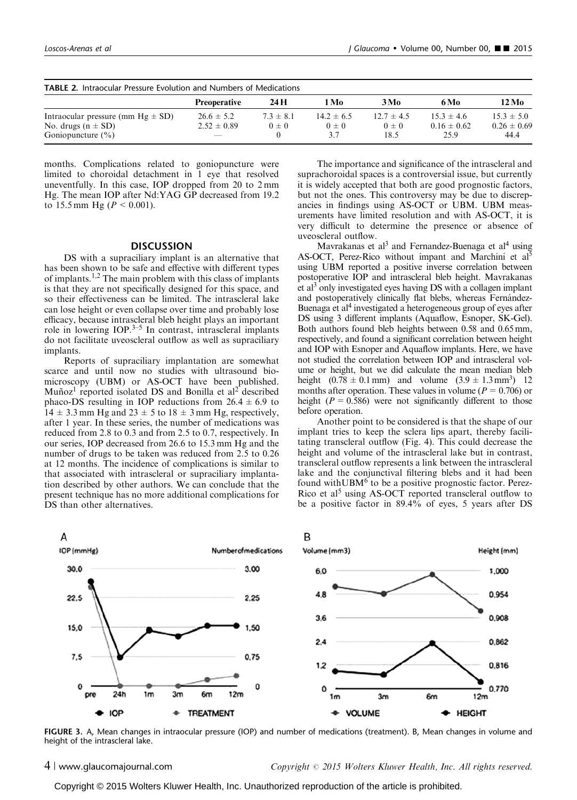<span id="page-3-0"></span>

| <b>TABLE 2. Intraocular Pressure Evolution and Numbers of Medications</b> |                                   |                            |                           |                             |                                   |                                   |  |  |
|---------------------------------------------------------------------------|-----------------------------------|----------------------------|---------------------------|-----------------------------|-----------------------------------|-----------------------------------|--|--|
|                                                                           | <b>Preoperative</b>               | 24 H                       | 1 Mo                      | 3 Mo                        | 6 Mo                              | 12 Mo                             |  |  |
| Intraocular pressure (mm $Hg \pm SD$ )<br>No. drugs $(n \pm SD)$          | $26.6 \pm 5.2$<br>$2.52 \pm 0.89$ | $7.3 \pm 8.1$<br>$0 \pm 0$ | $14.2 \pm 6.5$<br>$0 + 0$ | $12.7 \pm 4.5$<br>$0 \pm 0$ | $15.3 \pm 4.6$<br>$0.16 \pm 0.62$ | $15.3 \pm 5.0$<br>$0.26 \pm 0.69$ |  |  |
| Goniopuncture $(\% )$                                                     | $\overline{\phantom{a}}$          |                            | 3.7                       | 18.5                        | 25.9                              | 44.4                              |  |  |

months. Complications related to goniopuncture were limited to choroidal detachment in 1 eye that resolved uneventfully. In this case, IOP dropped from 20 to 2 mm Hg. The mean IOP after Nd:YAG GP decreased from 19.2 to 15.5 mm Hg ( $P < 0.001$ ).

### **DISCUSSION**

DS with a supraciliary implant is an alternative that has been shown to be safe and effective with different types of implants.<sup>[1,2](#page-4-0)</sup> The main problem with this class of implants is that they are not specifically designed for this space, and so their effectiveness can be limited. The intrascleral lake can lose height or even collapse over time and probably lose efficacy, because intrascleral bleb height plays an important role in lowering  $IOP<sup>3–5</sup>$  $IOP<sup>3–5</sup>$  $IOP<sup>3–5</sup>$  In contrast, intrascleral implants do not facilitate uveoscleral outflow as well as supraciliary implants.

Reports of supraciliary implantation are somewhat scarce and until now no studies with ultrasound biomicroscopy (UBM) or AS-OCT have been published. Muñoz<sup>[1](#page-4-0)</sup> reported isolated DS and Bonilla et al<sup>[2](#page-4-0)</sup> described phaco-DS resulting in IOP reductions from  $26.4 \pm 6.9$  to  $14 \pm 3.3$  mm Hg and  $23 \pm 5$  to  $18 \pm 3$  mm Hg, respectively, after 1 year. In these series, the number of medications was reduced from 2.8 to 0.3 and from 2.5 to 0.7, respectively. In our series, IOP decreased from 26.6 to 15.3 mm Hg and the number of drugs to be taken was reduced from 2.5 to 0.26 at 12 months. The incidence of complications is similar to that associated with intrascleral or supraciliary implantation described by other authors. We can conclude that the present technique has no more additional complications for DS than other alternatives.

The importance and significance of the intrascleral and suprachoroidal spaces is a controversial issue, but currently it is widely accepted that both are good prognostic factors, but not the ones. This controversy may be due to discrepancies in findings using AS-OCT or UBM. UBM measurements have limited resolution and with AS-OCT, it is very difficult to determine the presence or absence of uveoscleral outflow.

Mavrakanas et al<sup>3</sup> and Fernandez-Buenaga et al<sup>4</sup> using AS-OCT, Perez-Rico without impant and Marchini et al<sup>[5](#page-4-0)</sup> using UBM reported a positive inverse correlation between postoperative IOP and intrascleral bleb height. Mavrakanas et al<sup>3</sup> only investigated eyes having  $DS$  with a collagen implant and postoperatively clinically flat blebs, whereas Fernández-Buenaga et al<sup>4</sup> investigated a heterogeneous group of eyes after DS using 3 different implants (Aquaflow, Esnoper, SK-Gel). Both authors found bleb heights between 0.58 and 0.65 mm, respectively, and found a significant correlation between height and IOP with Esnoper and Aquaflow implants. Here, we have not studied the correlation between IOP and intrascleral volume or height, but we did calculate the mean median bleb height  $(0.78 \pm 0.1 \text{ mm})$  and volume  $(3.9 \pm 1.3 \text{ mm}^3)$  12 months after operation. These values in volume ( $P = 0.706$ ) or height ( $P = 0.586$ ) were not significantly different to those before operation.

Another point to be considered is that the shape of our implant tries to keep the sclera lips apart, thereby facilitating transcleral outflow [\(Fig. 4](#page-4-0)). This could decrease the height and volume of the intrascleral lake but in contrast, transcleral outflow represents a link between the intrascleral lake and the conjunctival filtering blebs and it had been found with UBM $<sup>6</sup>$  $<sup>6</sup>$  $<sup>6</sup>$  to be a positive prognostic factor. Perez-</sup> Rico et al<sup>[5](#page-4-0)</sup> using AS-OCT reported transcleral outflow to be a positive factor in 89.4% of eyes, 5 years after DS



FIGURE 3. A, Mean changes in intraocular pressure (IOP) and number of medications (treatment). B, Mean changes in volume and height of the intrascleral lake.

4 <sup>|</sup> www.glaucomajournal.com Copyright <sup>r</sup> 2015 Wolters Kluwer Health, Inc. All rights reserved.